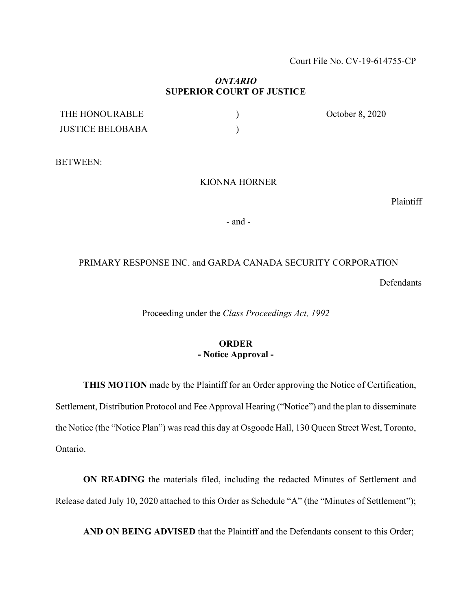Court File No. CV-19-614755-CP

## *ONTARIO* **SUPERIOR COURT OF JUSTICE**

| THE HONOURABLE          | October 8, 2020 |
|-------------------------|-----------------|
| <b>JUSTICE BELOBABA</b> |                 |

BETWEEN:

## KIONNA HORNER

Plaintiff

- and -

## PRIMARY RESPONSE INC. and GARDA CANADA SECURITY CORPORATION

Defendants

Proceeding under the *Class Proceedings Act, 1992*

## **ORDER - Notice Approval -**

**THIS MOTION** made by the Plaintiff for an Order approving the Notice of Certification, Settlement, Distribution Protocol and Fee Approval Hearing ("Notice") and the plan to disseminate the Notice (the "Notice Plan") was read this day at Osgoode Hall, 130 Queen Street West, Toronto, Ontario.

**ON READING** the materials filed, including the redacted Minutes of Settlement and Release dated July 10, 2020 attached to this Order as Schedule "A" (the "Minutes of Settlement");

**AND ON BEING ADVISED** that the Plaintiff and the Defendants consent to this Order;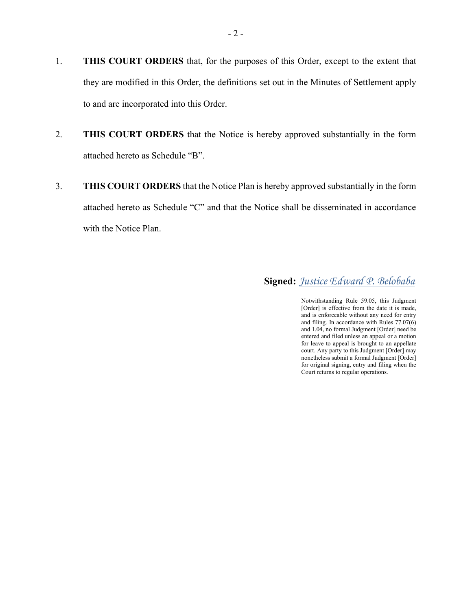- 1. **THIS COURT ORDERS** that, for the purposes of this Order, except to the extent that they are modified in this Order, the definitions set out in the Minutes of Settlement apply to and are incorporated into this Order.
- 2. **THIS COURT ORDERS** that the Notice is hereby approved substantially in the form attached hereto as Schedule "B".
- 3. **THIS COURT ORDERS** that the Notice Plan is hereby approved substantially in the form attached hereto as Schedule "C" and that the Notice shall be disseminated in accordance with the Notice Plan.

 **Signed:** *Justice Edward P. Belobaba*

Notwithstanding Rule 59.05, this Judgment [Order] is effective from the date it is made, and is enforceable without any need for entry and filing. In accordance with Rules 77.07(6) and 1.04, no formal Judgment [Order] need be entered and filed unless an appeal or a motion for leave to appeal is brought to an appellate court. Any party to this Judgment [Order] may nonetheless submit a formal Judgment [Order] for original signing, entry and filing when the Court returns to regular operations.